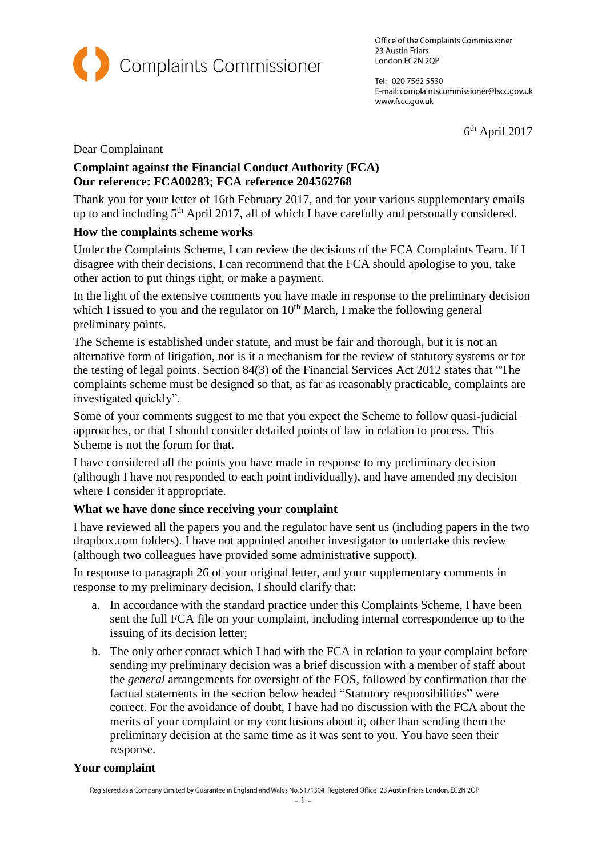

Office of the Complaints Commissioner 23 Austin Friars London EC2N 2QP

Tel: 020 7562 5530 E-mail: complaintscommissioner@fscc.gov.uk www.fscc.gov.uk

6 th April 2017

Dear Complainant

# **Complaint against the Financial Conduct Authority (FCA) Our reference: FCA00283; FCA reference 204562768**

Thank you for your letter of 16th February 2017, and for your various supplementary emails up to and including 5<sup>th</sup> April 2017, all of which I have carefully and personally considered.

# **How the complaints scheme works**

Under the Complaints Scheme, I can review the decisions of the FCA Complaints Team. If I disagree with their decisions, I can recommend that the FCA should apologise to you, take other action to put things right, or make a payment.

In the light of the extensive comments you have made in response to the preliminary decision which I issued to you and the regulator on  $10<sup>th</sup>$  March, I make the following general preliminary points.

The Scheme is established under statute, and must be fair and thorough, but it is not an alternative form of litigation, nor is it a mechanism for the review of statutory systems or for the testing of legal points. Section 84(3) of the Financial Services Act 2012 states that "The complaints scheme must be designed so that, as far as reasonably practicable, complaints are investigated quickly".

Some of your comments suggest to me that you expect the Scheme to follow quasi-judicial approaches, or that I should consider detailed points of law in relation to process. This Scheme is not the forum for that.

I have considered all the points you have made in response to my preliminary decision (although I have not responded to each point individually), and have amended my decision where I consider it appropriate.

## **What we have done since receiving your complaint**

I have reviewed all the papers you and the regulator have sent us (including papers in the two dropbox.com folders). I have not appointed another investigator to undertake this review (although two colleagues have provided some administrative support).

In response to paragraph 26 of your original letter, and your supplementary comments in response to my preliminary decision, I should clarify that:

- a. In accordance with the standard practice under this Complaints Scheme, I have been sent the full FCA file on your complaint, including internal correspondence up to the issuing of its decision letter;
- b. The only other contact which I had with the FCA in relation to your complaint before sending my preliminary decision was a brief discussion with a member of staff about the *general* arrangements for oversight of the FOS, followed by confirmation that the factual statements in the section below headed "Statutory responsibilities" were correct. For the avoidance of doubt, I have had no discussion with the FCA about the merits of your complaint or my conclusions about it, other than sending them the preliminary decision at the same time as it was sent to you. You have seen their response.

## **Your complaint**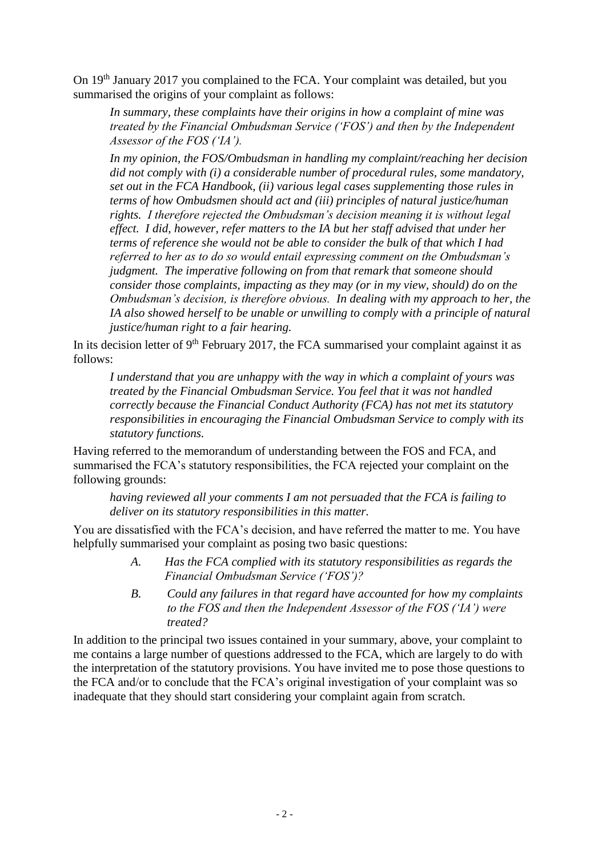On 19th January 2017 you complained to the FCA. Your complaint was detailed, but you summarised the origins of your complaint as follows:

*In summary, these complaints have their origins in how a complaint of mine was treated by the Financial Ombudsman Service ('FOS') and then by the Independent Assessor of the FOS ('IA').*

*In my opinion, the FOS/Ombudsman in handling my complaint/reaching her decision did not comply with (i) a considerable number of procedural rules, some mandatory, set out in the FCA Handbook, (ii) various legal cases supplementing those rules in terms of how Ombudsmen should act and (iii) principles of natural justice/human rights. I therefore rejected the Ombudsman's decision meaning it is without legal effect. I did, however, refer matters to the IA but her staff advised that under her terms of reference she would not be able to consider the bulk of that which I had referred to her as to do so would entail expressing comment on the Ombudsman's judgment. The imperative following on from that remark that someone should consider those complaints, impacting as they may (or in my view, should) do on the Ombudsman's decision, is therefore obvious. In dealing with my approach to her, the IA also showed herself to be unable or unwilling to comply with a principle of natural justice/human right to a fair hearing.*

In its decision letter of  $9<sup>th</sup>$  February 2017, the FCA summarised your complaint against it as follows:

*I understand that you are unhappy with the way in which a complaint of yours was treated by the Financial Ombudsman Service. You feel that it was not handled correctly because the Financial Conduct Authority (FCA) has not met its statutory responsibilities in encouraging the Financial Ombudsman Service to comply with its statutory functions.*

Having referred to the memorandum of understanding between the FOS and FCA, and summarised the FCA's statutory responsibilities, the FCA rejected your complaint on the following grounds:

*having reviewed all your comments I am not persuaded that the FCA is failing to deliver on its statutory responsibilities in this matter.*

You are dissatisfied with the FCA's decision, and have referred the matter to me. You have helpfully summarised your complaint as posing two basic questions:

- *A. Has the FCA complied with its statutory responsibilities as regards the Financial Ombudsman Service ('FOS')?*
- *B. Could any failures in that regard have accounted for how my complaints to the FOS and then the Independent Assessor of the FOS ('IA') were treated?*

In addition to the principal two issues contained in your summary, above, your complaint to me contains a large number of questions addressed to the FCA, which are largely to do with the interpretation of the statutory provisions. You have invited me to pose those questions to the FCA and/or to conclude that the FCA's original investigation of your complaint was so inadequate that they should start considering your complaint again from scratch.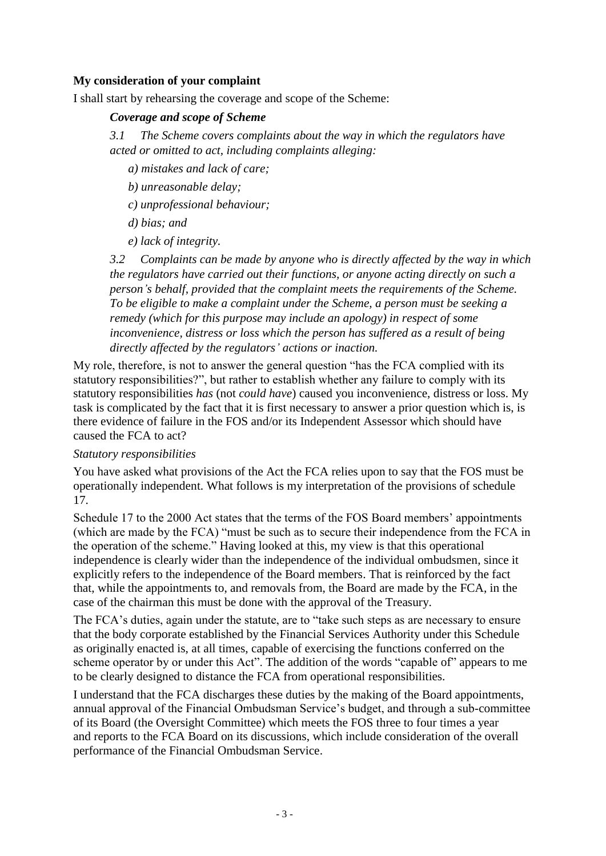## **My consideration of your complaint**

I shall start by rehearsing the coverage and scope of the Scheme:

### *Coverage and scope of Scheme*

*3.1 The Scheme covers complaints about the way in which the regulators have acted or omitted to act, including complaints alleging:*

- *a) mistakes and lack of care;*
- *b) unreasonable delay;*
- *c) unprofessional behaviour;*
- *d) bias; and*
- *e) lack of integrity.*

*3.2 Complaints can be made by anyone who is directly affected by the way in which the regulators have carried out their functions, or anyone acting directly on such a person's behalf, provided that the complaint meets the requirements of the Scheme. To be eligible to make a complaint under the Scheme, a person must be seeking a remedy (which for this purpose may include an apology) in respect of some inconvenience, distress or loss which the person has suffered as a result of being directly affected by the regulators' actions or inaction.*

My role, therefore, is not to answer the general question "has the FCA complied with its statutory responsibilities?", but rather to establish whether any failure to comply with its statutory responsibilities *has* (not *could have*) caused you inconvenience, distress or loss. My task is complicated by the fact that it is first necessary to answer a prior question which is, is there evidence of failure in the FOS and/or its Independent Assessor which should have caused the FCA to act?

#### *Statutory responsibilities*

You have asked what provisions of the Act the FCA relies upon to say that the FOS must be operationally independent. What follows is my interpretation of the provisions of schedule 17.

Schedule 17 to the 2000 Act states that the terms of the FOS Board members' appointments (which are made by the FCA) "must be such as to secure their independence from the FCA in the operation of the scheme." Having looked at this, my view is that this operational independence is clearly wider than the independence of the individual ombudsmen, since it explicitly refers to the independence of the Board members. That is reinforced by the fact that, while the appointments to, and removals from, the Board are made by the FCA, in the case of the chairman this must be done with the approval of the Treasury.

The FCA's duties, again under the statute, are to "take such steps as are necessary to ensure that the body corporate established by the Financial Services Authority under this Schedule as originally enacted is, at all times, capable of exercising the functions conferred on the scheme operator by or under this Act". The addition of the words "capable of" appears to me to be clearly designed to distance the FCA from operational responsibilities.

I understand that the FCA discharges these duties by the making of the Board appointments, annual approval of the Financial Ombudsman Service's budget, and through a sub-committee of its Board (the Oversight Committee) which meets the FOS three to four times a year and reports to the FCA Board on its discussions, which include consideration of the overall performance of the Financial Ombudsman Service.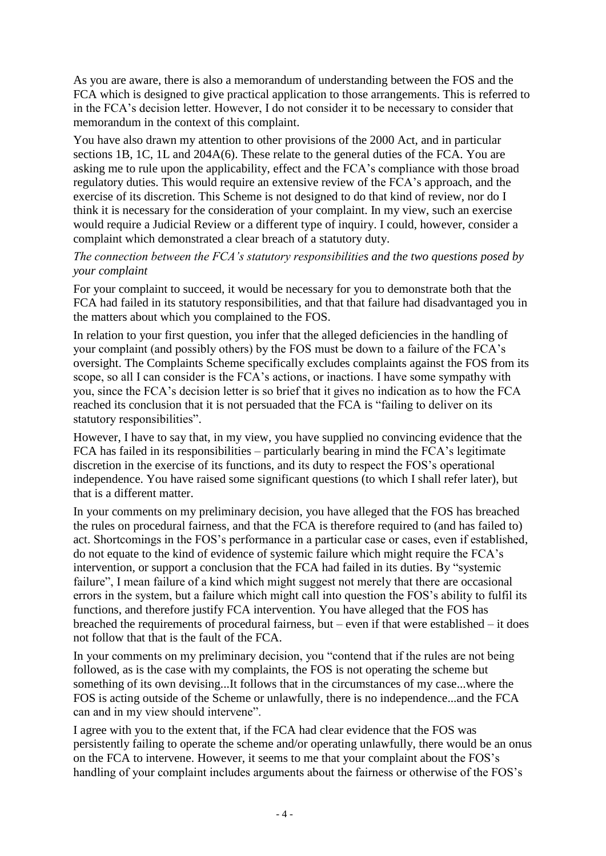As you are aware, there is also a memorandum of understanding between the FOS and the FCA which is designed to give practical application to those arrangements. This is referred to in the FCA's decision letter. However, I do not consider it to be necessary to consider that memorandum in the context of this complaint.

You have also drawn my attention to other provisions of the 2000 Act, and in particular sections 1B, 1C, 1L and 204A(6). These relate to the general duties of the FCA. You are asking me to rule upon the applicability, effect and the FCA's compliance with those broad regulatory duties. This would require an extensive review of the FCA's approach, and the exercise of its discretion. This Scheme is not designed to do that kind of review, nor do I think it is necessary for the consideration of your complaint. In my view, such an exercise would require a Judicial Review or a different type of inquiry. I could, however, consider a complaint which demonstrated a clear breach of a statutory duty.

## *The connection between the FCA's statutory responsibilities and the two questions posed by your complaint*

For your complaint to succeed, it would be necessary for you to demonstrate both that the FCA had failed in its statutory responsibilities, and that that failure had disadvantaged you in the matters about which you complained to the FOS.

In relation to your first question, you infer that the alleged deficiencies in the handling of your complaint (and possibly others) by the FOS must be down to a failure of the FCA's oversight. The Complaints Scheme specifically excludes complaints against the FOS from its scope, so all I can consider is the FCA's actions, or inactions. I have some sympathy with you, since the FCA's decision letter is so brief that it gives no indication as to how the FCA reached its conclusion that it is not persuaded that the FCA is "failing to deliver on its statutory responsibilities".

However, I have to say that, in my view, you have supplied no convincing evidence that the FCA has failed in its responsibilities – particularly bearing in mind the FCA's legitimate discretion in the exercise of its functions, and its duty to respect the FOS's operational independence. You have raised some significant questions (to which I shall refer later), but that is a different matter.

In your comments on my preliminary decision, you have alleged that the FOS has breached the rules on procedural fairness, and that the FCA is therefore required to (and has failed to) act. Shortcomings in the FOS's performance in a particular case or cases, even if established, do not equate to the kind of evidence of systemic failure which might require the FCA's intervention, or support a conclusion that the FCA had failed in its duties. By "systemic failure", I mean failure of a kind which might suggest not merely that there are occasional errors in the system, but a failure which might call into question the FOS's ability to fulfil its functions, and therefore justify FCA intervention. You have alleged that the FOS has breached the requirements of procedural fairness, but – even if that were established – it does not follow that that is the fault of the FCA.

In your comments on my preliminary decision, you "contend that if the rules are not being followed, as is the case with my complaints, the FOS is not operating the scheme but something of its own devising...It follows that in the circumstances of my case...where the FOS is acting outside of the Scheme or unlawfully, there is no independence...and the FCA can and in my view should intervene".

I agree with you to the extent that, if the FCA had clear evidence that the FOS was persistently failing to operate the scheme and/or operating unlawfully, there would be an onus on the FCA to intervene. However, it seems to me that your complaint about the FOS's handling of your complaint includes arguments about the fairness or otherwise of the FOS's